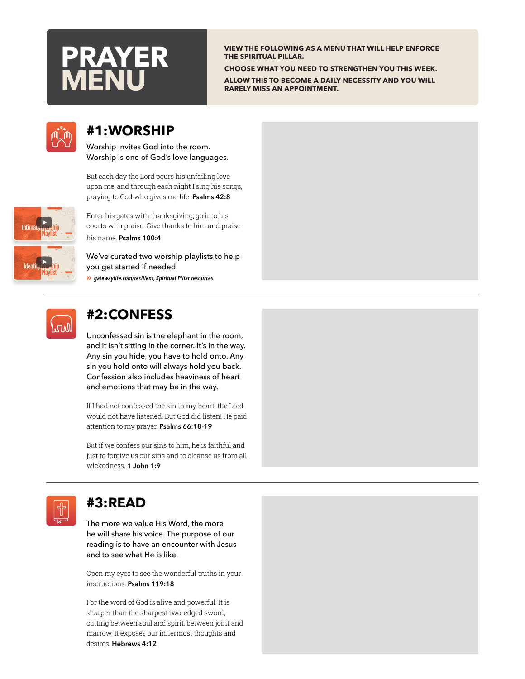

**VIEW THE FOLLOWING AS A MENU THAT WILL HELP ENFORCE THE SPIRITUAL PILLAR.** 

**CHOOSE WHAT YOU NEED TO STRENGTHEN YOU THIS WEEK. ALLOW THIS TO BECOME A DAILY NECESSITY AND YOU WILL RARELY MISS AN APPOINTMENT.**



### **#1:WORSHIP**

Worship invites God into the room. Worship is one of God's love languages.

But each day the Lord pours his unfailing love upon me, and through each night I sing his songs, praying to God who gives me life. **Psalms 42:8**



Enter his gates with thanksgiving; go into his courts with praise. Give thanks to him and praise his name. **Psalms 100:4**

We've curated two worship playlists to help you get started if needed. Angle-Double-Right *[gatewaylife.com/resilient](https://gatewaylife.com/resilient/spiritual-pillar/#resources), Spiritual Pillar resources*



# **#2:CONFESS**

Unconfessed sin is the elephant in the room, and it isn't sitting in the corner. It's in the way. Any sin you hide, you have to hold onto. Any sin you hold onto will always hold you back. Confession also includes heaviness of heart and emotions that may be in the way.

If I had not confessed the sin in my heart, the Lord would not have listened. But God did listen! He paid attention to my prayer. **Psalms 66:18-19** 

But if we confess our sins to him, he is faithful and just to forgive us our sins and to cleanse us from all wickedness. **1 John 1:9**



## **#3:READ**

The more we value His Word, the more he will share his voice. The purpose of our reading is to have an encounter with Jesus and to see what He is like.

Open my eyes to see the wonderful truths in your instructions. **Psalms 119:18**

For the word of God is alive and powerful. It is sharper than the sharpest two-edged sword, cutting between soul and spirit, between joint and marrow. It exposes our innermost thoughts and desires. **Hebrews 4:12**